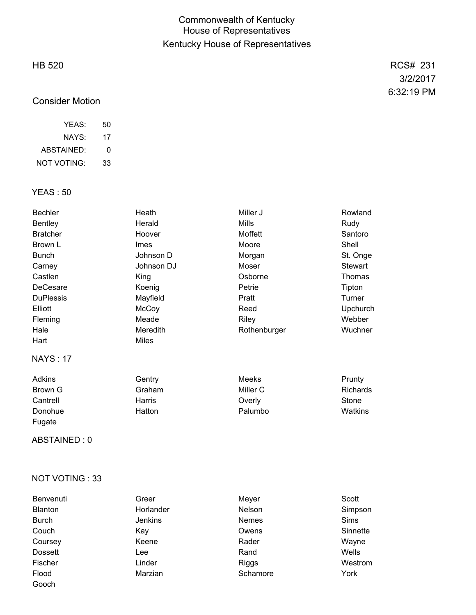## Commonwealth of Kentucky House of Representatives Kentucky House of Representatives

## HB 520

# Consider Motion

| YFAS:       | 50 |
|-------------|----|
| NAYS:       | 17 |
| ABSTAINED:  | O  |
| NOT VOTING: | 33 |

## YEAS : 50

| <b>Bechler</b>   | Heath                      | Miller J     | Rowland         |
|------------------|----------------------------|--------------|-----------------|
| Bentley          | Herald                     | Mills        | Rudy            |
| <b>Bratcher</b>  | Hoover                     | Moffett      | Santoro         |
| Brown L          | <b>Imes</b>                | Moore        | Shell           |
| <b>Bunch</b>     | Johnson D                  | Morgan       | St. Onge        |
| Carney           | Johnson DJ                 | Moser        | Stewart         |
| Castlen          | King                       | Osborne      | Thomas          |
| DeCesare         | Koenig                     | Petrie       | Tipton          |
| <b>DuPlessis</b> | Mayfield                   | Pratt        | Turner          |
| Elliott          | McCoy                      | Reed         | Upchurch        |
| Fleming          | Meade                      | Riley        | Webber          |
| Hale             | Meredith                   | Rothenburger | Wuchner         |
| Hart             | <b>Miles</b>               |              |                 |
| <b>NAYS: 17</b>  |                            |              |                 |
| $A$ alison       | $\bigcap$ and in $\bigcap$ | $M = -1$     | <u>December</u> |

| Adkins   | Gentry | Meeks    | Prunty   |
|----------|--------|----------|----------|
| Brown G  | Graham | Miller C | Richards |
| Cantrell | Harris | Overly   | Stone    |
| Donohue  | Hatton | Palumbo  | Watkins  |
| Fugate   |        |          |          |

ABSTAINED : 0

### NOT VOTING : 33

| Benvenuti      | Greer          | Meyer        | Scott       |
|----------------|----------------|--------------|-------------|
| Blanton        | Horlander      | Nelson       | Simpson     |
| <b>Burch</b>   | <b>Jenkins</b> | <b>Nemes</b> | <b>Sims</b> |
| Couch          | Kav            | Owens        | Sinnette    |
| Coursey        | Keene          | Rader        | Wayne       |
| <b>Dossett</b> | Lee            | Rand         | Wells       |
| Fischer        | Linder         | <b>Riggs</b> | Westrom     |
| Flood          | Marzian        | Schamore     | York        |
| Gooch          |                |              |             |

RCS# 231 3/2/2017 6:32:19 PM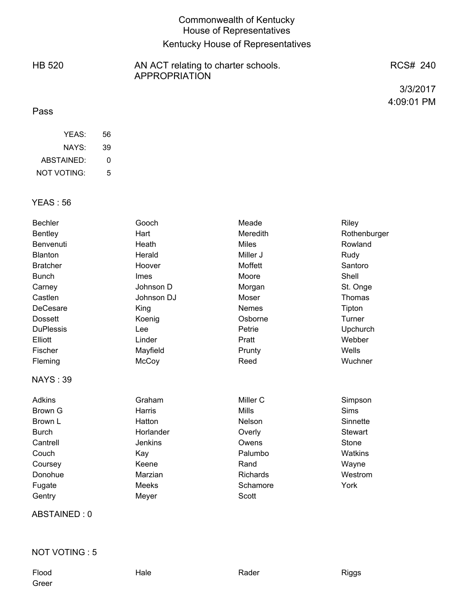# Commonwealth of Kentucky House of Representatives Kentucky House of Representatives

HB 520 AN ACT relating to charter schools. APPROPRIATION

RCS# 240

3/3/2017 4:09:01 PM

### Pass

| YEAS:       | 56 |
|-------------|----|
| NAYS:       | 39 |
| ABSTAINED:  | O  |
| NOT VOTING: | 5  |

### YEAS : 56

| <b>Bentley</b><br>Hart<br><b>Meredith</b><br>Rowland<br>Benvenuti<br><b>Miles</b><br>Heath<br>Miller J<br><b>Blanton</b><br>Herald<br>Rudy<br>Moffett<br>Santoro<br><b>Bratcher</b><br>Hoover | Rothenburger |
|-----------------------------------------------------------------------------------------------------------------------------------------------------------------------------------------------|--------------|
|                                                                                                                                                                                               |              |
|                                                                                                                                                                                               |              |
|                                                                                                                                                                                               |              |
|                                                                                                                                                                                               |              |
| Shell<br><b>Bunch</b><br>Moore<br>Imes                                                                                                                                                        |              |
| Johnson D<br>St. Onge<br>Carney<br>Morgan                                                                                                                                                     |              |
| Castlen<br>Johnson DJ<br>Moser<br>Thomas                                                                                                                                                      |              |
| DeCesare<br><b>Nemes</b><br>Tipton<br>King                                                                                                                                                    |              |
| Osborne<br>Turner<br><b>Dossett</b><br>Koenig                                                                                                                                                 |              |
| <b>DuPlessis</b><br>Upchurch<br>Petrie<br>Lee                                                                                                                                                 |              |
| Elliott<br>Linder<br>Webber<br>Pratt                                                                                                                                                          |              |
| Wells<br>Fischer<br>Mayfield<br>Prunty                                                                                                                                                        |              |
| Reed<br>Wuchner<br>Fleming<br>McCoy                                                                                                                                                           |              |
| <b>NAYS: 39</b>                                                                                                                                                                               |              |
| Miller C<br><b>Adkins</b><br>Graham<br>Simpson                                                                                                                                                |              |
| <b>Sims</b><br><b>Mills</b><br>Brown G<br>Harris                                                                                                                                              |              |
| Hatton<br>Nelson<br>Sinnette<br>Brown L                                                                                                                                                       |              |
| <b>Burch</b><br>Horlander<br>Overly<br><b>Stewart</b>                                                                                                                                         |              |
| <b>Jenkins</b><br>Stone<br>Cantrell<br>Owens                                                                                                                                                  |              |
| Palumbo<br>Watkins<br>Couch<br>Kay                                                                                                                                                            |              |
| Keene<br>Rand<br>Wayne<br>Coursey                                                                                                                                                             |              |
| Westrom<br>Donohue<br>Marzian<br><b>Richards</b>                                                                                                                                              |              |
| York<br><b>Meeks</b><br>Schamore<br>Fugate                                                                                                                                                    |              |
| Scott<br>Gentry<br>Meyer                                                                                                                                                                      |              |

ABSTAINED : 0

## NOT VOTING : 5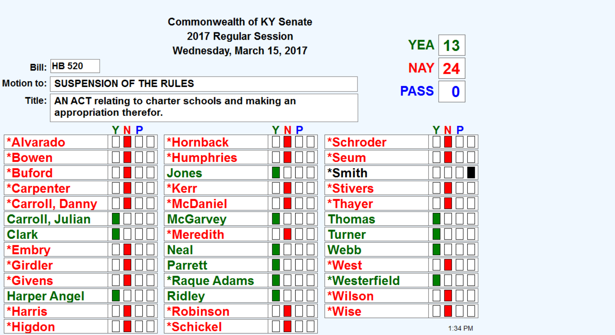|                        |                     |                                | <b>Commonwealth of KY Senate</b>                 |            |               |                  |
|------------------------|---------------------|--------------------------------|--------------------------------------------------|------------|---------------|------------------|
|                        |                     |                                | 2017 Regular Session                             |            |               |                  |
|                        |                     |                                | Wednesday, March 15, 2017                        |            |               | <b>YEA</b><br>13 |
|                        | <b>Bill: HB 520</b> |                                |                                                  |            |               | <b>NAY</b><br>24 |
| <b>Motion to:</b>      |                     | <b>SUSPENSION OF THE RULES</b> |                                                  |            |               | <b>PASS</b>      |
| Title:                 |                     | appropriation therefor.        | AN ACT relating to charter schools and making an |            |               | 0                |
|                        |                     | YNP                            |                                                  | <b>YNP</b> |               | YNP              |
| *Alvarado              |                     |                                | *Hornback                                        |            | *Schroder     |                  |
| *Bowen                 |                     |                                | *Humphries                                       |            | *Seum         |                  |
| *Buford                |                     |                                | Jones                                            |            | *Smith        |                  |
| *Carpenter             |                     |                                | *Kerr                                            |            | *Stivers      |                  |
|                        | *Carroll, Danny     |                                | *McDaniel                                        |            | *Thayer       |                  |
| <b>Carroll, Julian</b> |                     |                                | <b>McGarvey</b>                                  |            | <b>Thomas</b> |                  |
| <b>Clark</b>           |                     |                                | *Meredith                                        |            | Turner        |                  |
| *Embry                 |                     |                                | <b>Neal</b>                                      |            | Webb          |                  |
| *Girdler               |                     |                                | <b>Parrett</b>                                   |            | *West         |                  |
| *Givens                |                     |                                | <b>*Raque Adams</b>                              |            | *Westerfield  |                  |
| <b>Harper Angel</b>    |                     |                                | <b>Ridley</b>                                    |            | *Wilson       |                  |
| *Harris                |                     |                                | <b>*Robinson</b>                                 |            | *Wise         |                  |
| *Higdon                |                     |                                | *Schickel                                        |            |               | 1:34 PM          |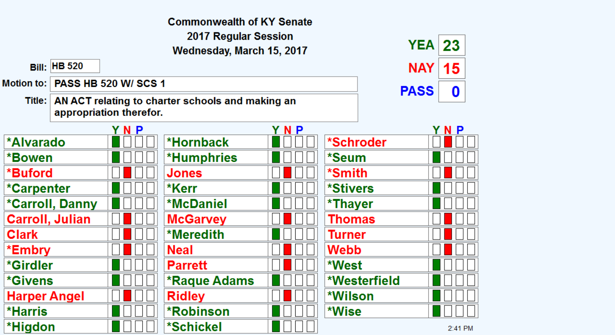|                        |                     |                             | <b>Commonwealth of KY Senate</b>                          |     |                        |             |         |  |
|------------------------|---------------------|-----------------------------|-----------------------------------------------------------|-----|------------------------|-------------|---------|--|
|                        |                     |                             | 2017 Regular Session<br>Wednesday, March 15, 2017         |     |                        | <b>YEA</b>  | 23      |  |
|                        | <b>Bill: HB 520</b> |                             |                                                           |     |                        | NAY.        | 15      |  |
| Motion to:             |                     | <b>PASS HB 520 W/ SCS 1</b> |                                                           |     |                        | <b>PASS</b> | 0       |  |
|                        |                     | appropriation therefor.     | Title:   AN ACT relating to charter schools and making an |     |                        |             |         |  |
|                        |                     |                             |                                                           | YNP |                        |             | N P     |  |
| *Alvarado              |                     |                             | *Hornback                                                 |     | *Schroder              |             |         |  |
| *Bowen                 |                     |                             | <b>*Humphries</b>                                         |     | *Seum                  |             |         |  |
| *Buford                |                     |                             | <b>Jones</b>                                              |     | *Smith                 |             |         |  |
| *Carpenter             |                     |                             | *Kerr                                                     |     | <i><b>*Stivers</b></i> |             |         |  |
|                        | *Carroll, Danny     |                             | <b>*McDaniel</b>                                          |     | *Thayer                |             |         |  |
| <b>Carroll, Julian</b> |                     |                             | <b>McGarvey</b>                                           |     | <b>Thomas</b>          |             |         |  |
| <b>Clark</b>           |                     |                             | *Meredith                                                 |     | Turner                 |             |         |  |
| *Embry                 |                     |                             | <b>Neal</b>                                               |     | Webb                   |             |         |  |
| *Girdler               |                     |                             | <b>Parrett</b>                                            |     | *West                  |             |         |  |
| <i><b>*Givens</b></i>  |                     |                             | <b>*Raque Adams</b>                                       |     | *Westerfield           |             |         |  |
| <b>Harper Angel</b>    |                     |                             | <b>Ridley</b>                                             |     | *Wilson                |             |         |  |
| <b>*Harris</b>         |                     |                             | <b>*Robinson</b>                                          |     | *Wise                  |             |         |  |
| *Higdon                |                     |                             | *Schickel                                                 |     |                        |             | 2:41 PM |  |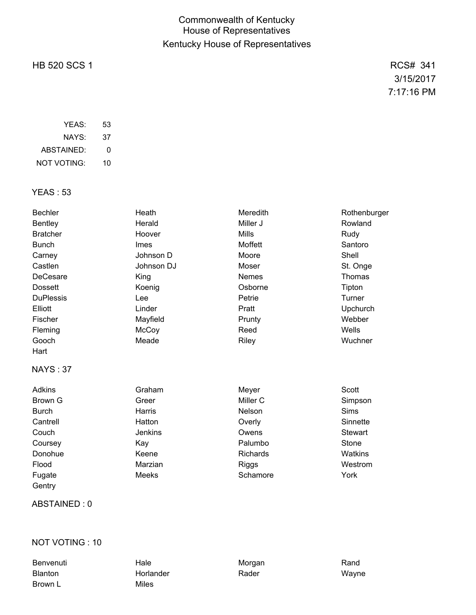# Commonwealth of Kentucky House of Representatives Kentucky House of Representatives

## HB 520 SCS 1 RCS# 341

3/15/2017 7:17:16 PM

| YFAS:       | 53 |
|-------------|----|
| NAYS:       | 37 |
| ABSTAINED:  | O  |
| NOT VOTING: | 10 |

## YEAS : 53

| <b>Bechler</b>   | Heath        | Meredith        | Rothenburger   |
|------------------|--------------|-----------------|----------------|
| <b>Bentley</b>   | Herald       | Miller J        | Rowland        |
| <b>Bratcher</b>  | Hoover       | <b>Mills</b>    | Rudy           |
| <b>Bunch</b>     | Imes         | Moffett         | Santoro        |
| Carney           | Johnson D    | Moore           | Shell          |
| Castlen          | Johnson DJ   | Moser           | St. Onge       |
| DeCesare         | King         | <b>Nemes</b>    | Thomas         |
| <b>Dossett</b>   | Koenig       | Osborne         | Tipton         |
| <b>DuPlessis</b> | Lee          | Petrie          | Turner         |
| Elliott          | Linder       | Pratt           | Upchurch       |
| Fischer          | Mayfield     | Prunty          | Webber         |
| Fleming          | McCoy        | Reed            | Wells          |
| Gooch            | Meade        | Riley           | Wuchner        |
| Hart             |              |                 |                |
| <b>NAYS: 37</b>  |              |                 |                |
| <b>Adkins</b>    | Graham       | Meyer           | Scott          |
| Brown G          | Greer        | Miller C        | Simpson        |
| <b>Burch</b>     | Harris       | Nelson          | <b>Sims</b>    |
| Cantrell         | Hatton       | Overly          | Sinnette       |
| Couch            | Jenkins      | Owens           | <b>Stewart</b> |
| Coursey          | Kay          | Palumbo         | Stone          |
| Donohue          | Keene        | <b>Richards</b> | Watkins        |
| Flood            | Marzian      | <b>Riggs</b>    | Westrom        |
| Fugate           | <b>Meeks</b> | Schamore        | York           |
| Gentry           |              |                 |                |

### ABSTAINED : 0

### NOT VOTING : 10

Brown L Miles

Benvenuti Hale Morgan Rand Blanton Horlander Rader Wayne